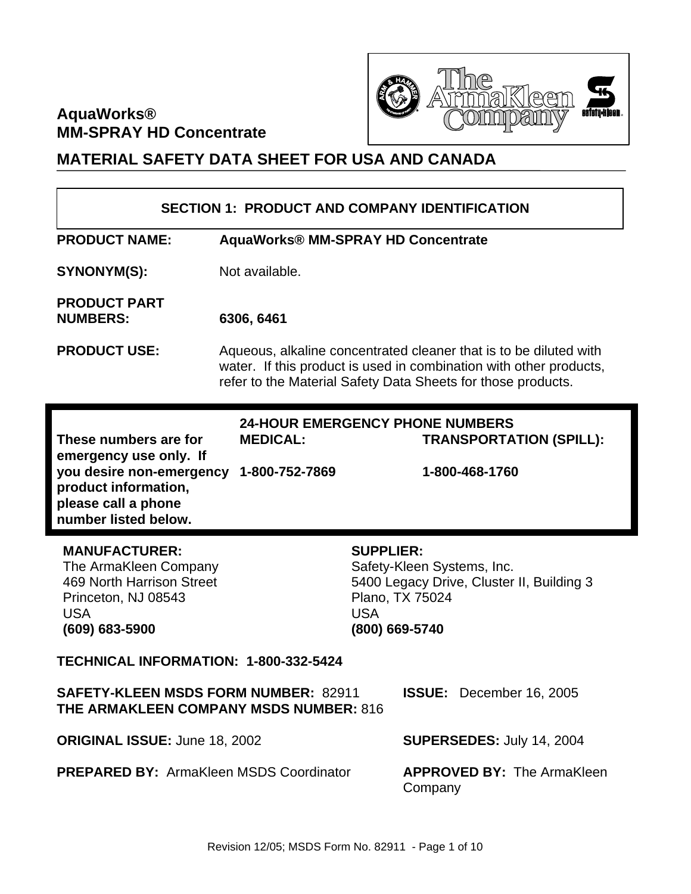# **AquaWorks® MM-SPRAY HD Concentrate**



# **MATERIAL SAFETY DATA SHEET FOR USA AND CANADA**

|                                                                                                                                                    |                                    | <b>SECTION 1: PRODUCT AND COMPANY IDENTIFICATION</b>                                                                                                                                                    |
|----------------------------------------------------------------------------------------------------------------------------------------------------|------------------------------------|---------------------------------------------------------------------------------------------------------------------------------------------------------------------------------------------------------|
| <b>PRODUCT NAME:</b>                                                                                                                               | AquaWorks® MM-SPRAY HD Concentrate |                                                                                                                                                                                                         |
| SYNONYM(S):                                                                                                                                        | Not available.                     |                                                                                                                                                                                                         |
| <b>PRODUCT PART</b><br><b>NUMBERS:</b>                                                                                                             | 6306, 6461                         |                                                                                                                                                                                                         |
| <b>PRODUCT USE:</b>                                                                                                                                |                                    | Aqueous, alkaline concentrated cleaner that is to be diluted with<br>water. If this product is used in combination with other products,<br>refer to the Material Safety Data Sheets for those products. |
| These numbers are for<br>emergency use only. If<br>you desire non-emergency<br>product information,<br>please call a phone<br>number listed below. | <b>MEDICAL:</b><br>1-800-752-7869  | <b>24-HOUR EMERGENCY PHONE NUMBERS</b><br><b>TRANSPORTATION (SPILL):</b><br>1-800-468-1760                                                                                                              |
| <b>MANUFACTURER:</b><br>The ArmaKleen Company<br>469 North Harrison Street<br>Princeton, NJ 08543<br><b>USA</b><br>(609) 683-5900                  |                                    | <b>SUPPLIER:</b><br>Safety-Kleen Systems, Inc.<br>5400 Legacy Drive, Cluster II, Building 3<br>Plano, TX 75024<br><b>USA</b><br>(800) 669-5740                                                          |
| TECHNICAL INFORMATION: 1-800-332-5424                                                                                                              |                                    |                                                                                                                                                                                                         |
| <b>SAFETY-KLEEN MSDS FORM NUMBER: 82911</b><br>THE ARMAKLEEN COMPANY MSDS NUMBER: 816                                                              |                                    | <b>ISSUE:</b><br>December 16, 2005                                                                                                                                                                      |
| ORIGINAL ISSUE: June 18, 2002                                                                                                                      |                                    | <b>SUPERSEDES: July 14, 2004</b>                                                                                                                                                                        |
| <b>PREPARED BY: ArmaKleen MSDS Coordinator</b>                                                                                                     |                                    | <b>APPROVED BY: The ArmaKleen</b><br>Company                                                                                                                                                            |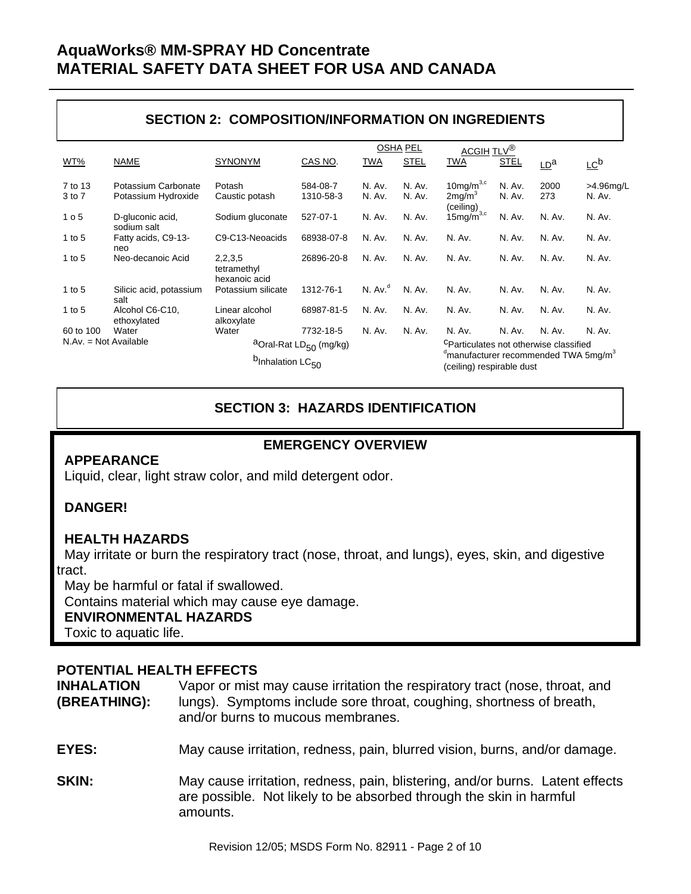## **SECTION 2: COMPOSITION/INFORMATION ON INGREDIENTS**

|                         |                                            |                                          |                                                |                     | <b>OSHA PEL</b>  | <u>ACGIH TLV<sup>®</sup></u>                                                              |                  |                 |                                        |
|-------------------------|--------------------------------------------|------------------------------------------|------------------------------------------------|---------------------|------------------|-------------------------------------------------------------------------------------------|------------------|-----------------|----------------------------------------|
| WT%                     | <b>NAME</b>                                | <b>SYNONYM</b>                           | CAS NO.                                        | <b>TWA</b>          | <b>STEL</b>      | <b>TWA</b>                                                                                | <b>STEL</b>      | LD <sup>a</sup> | $\underline{\mathsf{LC}}^{\mathsf{b}}$ |
| 7 to 13<br>3 to 7       | Potassium Carbonate<br>Potassium Hydroxide | Potash<br>Caustic potash                 | 584-08-7<br>1310-58-3                          | N. Av.<br>N. Av.    | N. Av.<br>N. Av. | 10 $mq/m^{3,c}$<br>2mg/m <sup>3</sup><br>(ceiling)                                        | N. Av.<br>N. Av. | 2000<br>273     | >4.96mg/L<br>N. Av.                    |
| 1 <sub>0</sub> 5        | D-gluconic acid,<br>sodium salt            | Sodium gluconate                         | 527-07-1                                       | N. Av.              | N. Av.           | $15 \text{mg/m}^{3,c}$                                                                    | N. Av.           | N. Av.          | N. Av.                                 |
| 1 to $5$                | Fatty acids, C9-13-<br>neo                 | C9-C13-Neoacids                          | 68938-07-8                                     | N. Av.              | N. Av.           | N. Av.                                                                                    | N. Av.           | N. Av.          | N. Av.                                 |
| 1 to $5$                | Neo-decanoic Acid                          | 2,2,3,5<br>tetramethyl<br>hexanoic acid  | 26896-20-8                                     | N. Av.              | N. Av.           | N. Av.                                                                                    | N. Av.           | N. Av.          | N. Av.                                 |
| 1 to $5$                | Silicic acid, potassium<br>salt            | Potassium silicate                       | 1312-76-1                                      | N. Av. <sup>d</sup> | N. Av.           | N. Av.                                                                                    | N. Av.           | N. Av.          | N. Av.                                 |
| 1 to $5$                | Alcohol C6-C10,<br>ethoxylated             | Linear alcohol<br>alkoxylate             | 68987-81-5                                     | N. Av.              | N. Av.           | N. Av.                                                                                    | N. Av.           | N. Av.          | N. Av.                                 |
| 60 to 100               | Water                                      | Water                                    | 7732-18-5                                      | N. Av.              | N. Av.           | N. Av.                                                                                    | N. Av.           | N. Av.          | N. Av.                                 |
| $N.Av. = Not Available$ |                                            |                                          | <sup>a</sup> Oral-Rat LD <sub>50</sub> (mg/kg) |                     |                  | <sup>C</sup> Particulates not otherwise classified                                        |                  |                 |                                        |
|                         |                                            | b <sub>Inhalation</sub> LC <sub>50</sub> |                                                |                     |                  | <sup>d</sup> manufacturer recommended TWA 5mg/m <sup>3</sup><br>(ceiling) respirable dust |                  |                 |                                        |

## **SECTION 3: HAZARDS IDENTIFICATION**

## **APPEARANCE**

### **EMERGENCY OVERVIEW**

### Liquid, clear, light straw color, and mild detergent odor.

### **DANGER!**

### **HEALTH HAZARDS**

 May irritate or burn the respiratory tract (nose, throat, and lungs), eyes, skin, and digestive tract.

May be harmful or fatal if swallowed.

Contains material which may cause eye damage.

#### **ENVIRONMENTAL HAZARDS**

Toxic to aquatic life.

#### **POTENTIAL HEALTH EFFECTS**

**INHALATION** Vapor or mist may cause irritation the respiratory tract (nose, throat, and **(BREATHING):** lungs). Symptoms include sore throat, coughing, shortness of breath, and/or burns to mucous membranes.

- **EYES:** May cause irritation, redness, pain, blurred vision, burns, and/or damage.
- **SKIN:** May cause irritation, redness, pain, blistering, and/or burns. Latent effects are possible. Not likely to be absorbed through the skin in harmful amounts.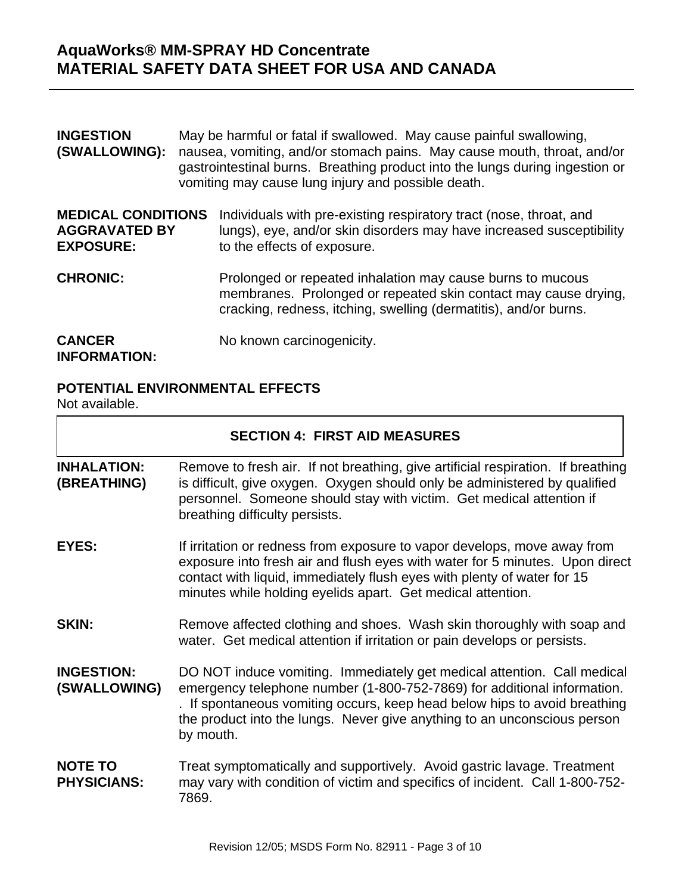| <b>INGESTION</b><br>(SWALLOWING):                                     | May be harmful or fatal if swallowed. May cause painful swallowing,<br>nausea, vomiting, and/or stomach pains. May cause mouth, throat, and/or<br>gastrointestinal burns. Breathing product into the lungs during ingestion or<br>vomiting may cause lung injury and possible death. |
|-----------------------------------------------------------------------|--------------------------------------------------------------------------------------------------------------------------------------------------------------------------------------------------------------------------------------------------------------------------------------|
| <b>MEDICAL CONDITIONS</b><br><b>AGGRAVATED BY</b><br><b>EXPOSURE:</b> | Individuals with pre-existing respiratory tract (nose, throat, and<br>lungs), eye, and/or skin disorders may have increased susceptibility<br>to the effects of exposure.                                                                                                            |
| <b>CHRONIC:</b>                                                       | Prolonged or repeated inhalation may cause burns to mucous<br>membranes. Prolonged or repeated skin contact may cause drying,<br>cracking, redness, itching, swelling (dermatitis), and/or burns.                                                                                    |
| <b>CANCER</b><br><b>INFORMATION:</b>                                  | No known carcinogenicity.                                                                                                                                                                                                                                                            |

## **POTENTIAL ENVIRONMENTAL EFFECTS**

Not available.

|                                      | <b>SECTION 4: FIRST AID MEASURES</b>                                                                                                                                                                                                                                                                                     |
|--------------------------------------|--------------------------------------------------------------------------------------------------------------------------------------------------------------------------------------------------------------------------------------------------------------------------------------------------------------------------|
| <b>INHALATION:</b><br>(BREATHING)    | Remove to fresh air. If not breathing, give artificial respiration. If breathing<br>is difficult, give oxygen. Oxygen should only be administered by qualified<br>personnel. Someone should stay with victim. Get medical attention if<br>breathing difficulty persists.                                                 |
| <b>EYES:</b>                         | If irritation or redness from exposure to vapor develops, move away from<br>exposure into fresh air and flush eyes with water for 5 minutes. Upon direct<br>contact with liquid, immediately flush eyes with plenty of water for 15<br>minutes while holding eyelids apart. Get medical attention.                       |
| <b>SKIN:</b>                         | Remove affected clothing and shoes. Wash skin thoroughly with soap and<br>water. Get medical attention if irritation or pain develops or persists.                                                                                                                                                                       |
| <b>INGESTION:</b><br>(SWALLOWING)    | DO NOT induce vomiting. Immediately get medical attention. Call medical<br>emergency telephone number (1-800-752-7869) for additional information.<br>. If spontaneous vomiting occurs, keep head below hips to avoid breathing<br>the product into the lungs. Never give anything to an unconscious person<br>by mouth. |
| <b>NOTE TO</b><br><b>PHYSICIANS:</b> | Treat symptomatically and supportively. Avoid gastric lavage. Treatment<br>may vary with condition of victim and specifics of incident. Call 1-800-752-<br>7869.                                                                                                                                                         |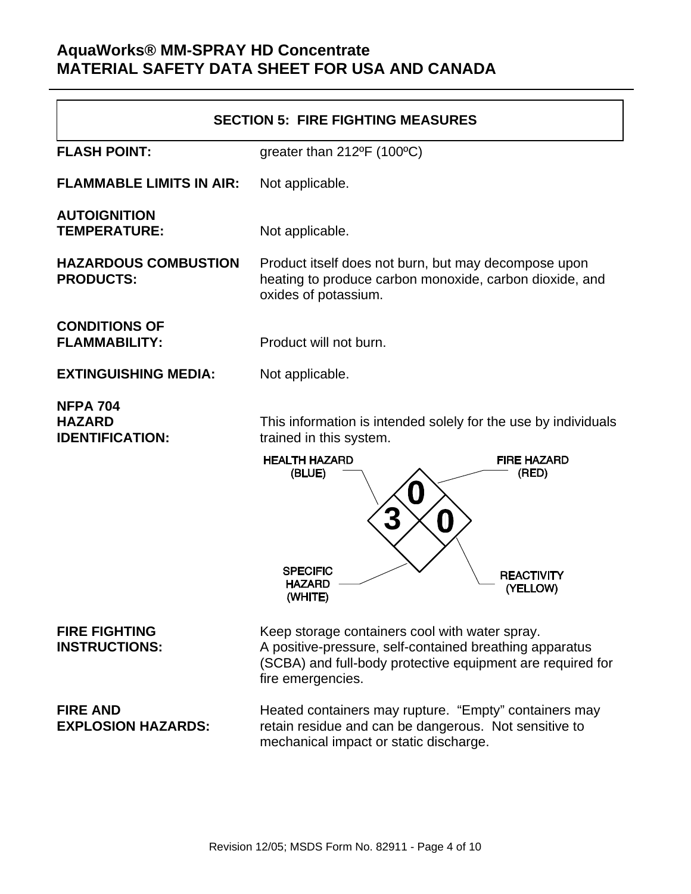| <b>SECTION 5: FIRE FIGHTING MEASURES</b>                   |                                                                                                                                                            |  |  |  |  |
|------------------------------------------------------------|------------------------------------------------------------------------------------------------------------------------------------------------------------|--|--|--|--|
| <b>FLASH POINT:</b>                                        | greater than 212°F (100°C)                                                                                                                                 |  |  |  |  |
| <b>FLAMMABLE LIMITS IN AIR:</b>                            | Not applicable.                                                                                                                                            |  |  |  |  |
| <b>AUTOIGNITION</b><br><b>TEMPERATURE:</b>                 | Not applicable.                                                                                                                                            |  |  |  |  |
| <b>HAZARDOUS COMBUSTION</b><br><b>PRODUCTS:</b>            | Product itself does not burn, but may decompose upon<br>heating to produce carbon monoxide, carbon dioxide, and<br>oxides of potassium.                    |  |  |  |  |
| <b>CONDITIONS OF</b><br><b>FLAMMABILITY:</b>               | Product will not burn.                                                                                                                                     |  |  |  |  |
| <b>EXTINGUISHING MEDIA:</b>                                | Not applicable.                                                                                                                                            |  |  |  |  |
| <b>NFPA 704</b><br><b>HAZARD</b><br><b>IDENTIFICATION:</b> | This information is intended solely for the use by individuals<br>trained in this system.<br><b>HEALTH HAZARD</b><br><b>FIRE HAZARD</b><br>(RED)<br>(BLUE) |  |  |  |  |
|                                                            | Ŋ<br><b>SPECIFIC</b><br><b>REACTIVITY</b><br><b>HAZARD</b><br>(YELLOW)<br>(WHITE)                                                                          |  |  |  |  |
| <b>FIRE FIGHTING</b><br><b>INSTRUCTIONS:</b>               | Keep storage containers cool with water spray.<br>A positive-pressure, self-contained breathing apparatus                                                  |  |  |  |  |

(SCBA) and full-body protective equipment are required for fire emergencies.

**FIRE AND Heated containers may rupture. "Empty" containers may rupture EXPLOSION HAZARDS:** retain residue and can be dangerous. Not sensitive to mechanical impact or static discharge.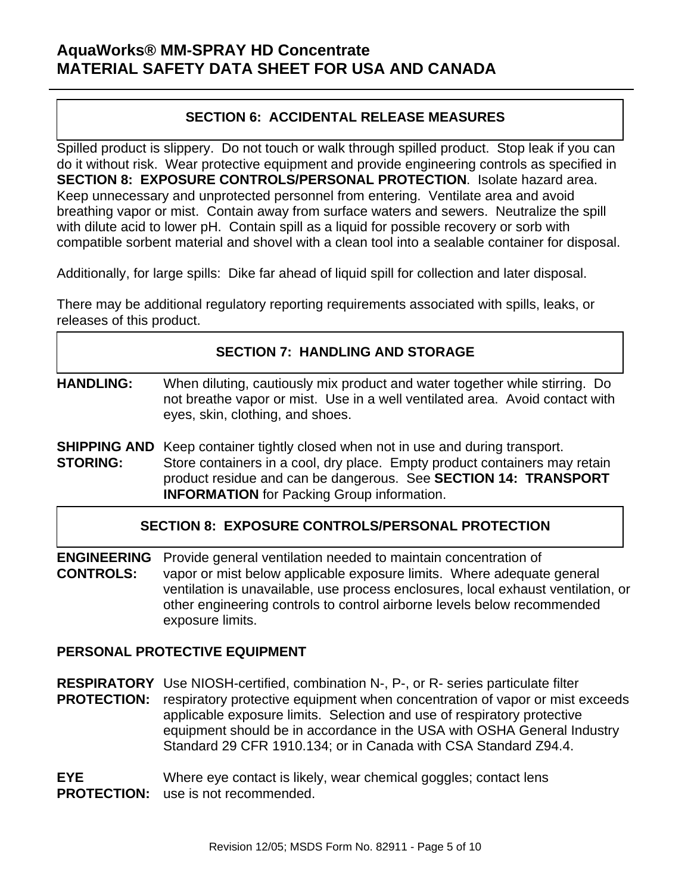## **SECTION 6: ACCIDENTAL RELEASE MEASURES**

Spilled product is slippery. Do not touch or walk through spilled product. Stop leak if you can do it without risk. Wear protective equipment and provide engineering controls as specified in **SECTION 8: EXPOSURE CONTROLS/PERSONAL PROTECTION**. Isolate hazard area. Keep unnecessary and unprotected personnel from entering. Ventilate area and avoid breathing vapor or mist. Contain away from surface waters and sewers. Neutralize the spill with dilute acid to lower pH. Contain spill as a liquid for possible recovery or sorb with compatible sorbent material and shovel with a clean tool into a sealable container for disposal.

Additionally, for large spills: Dike far ahead of liquid spill for collection and later disposal.

There may be additional regulatory reporting requirements associated with spills, leaks, or releases of this product.

### **SECTION 7: HANDLING AND STORAGE**

- **HANDLING:** When diluting, cautiously mix product and water together while stirring. Do not breathe vapor or mist. Use in a well ventilated area. Avoid contact with eyes, skin, clothing, and shoes.
- **SHIPPING AND** Keep container tightly closed when not in use and during transport. **STORING:** Store containers in a cool, dry place. Empty product containers may retain product residue and can be dangerous. See **SECTION 14: TRANSPORT INFORMATION** for Packing Group information.

### **SECTION 8: EXPOSURE CONTROLS/PERSONAL PROTECTION**

**ENGINEERING** Provide general ventilation needed to maintain concentration of **CONTROLS:** vapor or mist below applicable exposure limits. Where adequate general ventilation is unavailable, use process enclosures, local exhaust ventilation, or other engineering controls to control airborne levels below recommended exposure limits.

### **PERSONAL PROTECTIVE EQUIPMENT**

**RESPIRATORY** Use NIOSH-certified, combination N-, P-, or R- series particulate filter **PROTECTION:** respiratory protective equipment when concentration of vapor or mist exceeds applicable exposure limits. Selection and use of respiratory protective equipment should be in accordance in the USA with OSHA General Industry Standard 29 CFR 1910.134; or in Canada with CSA Standard Z94.4.

**EYE** Where eye contact is likely, wear chemical goggles; contact lens **PROTECTION:** use is not recommended.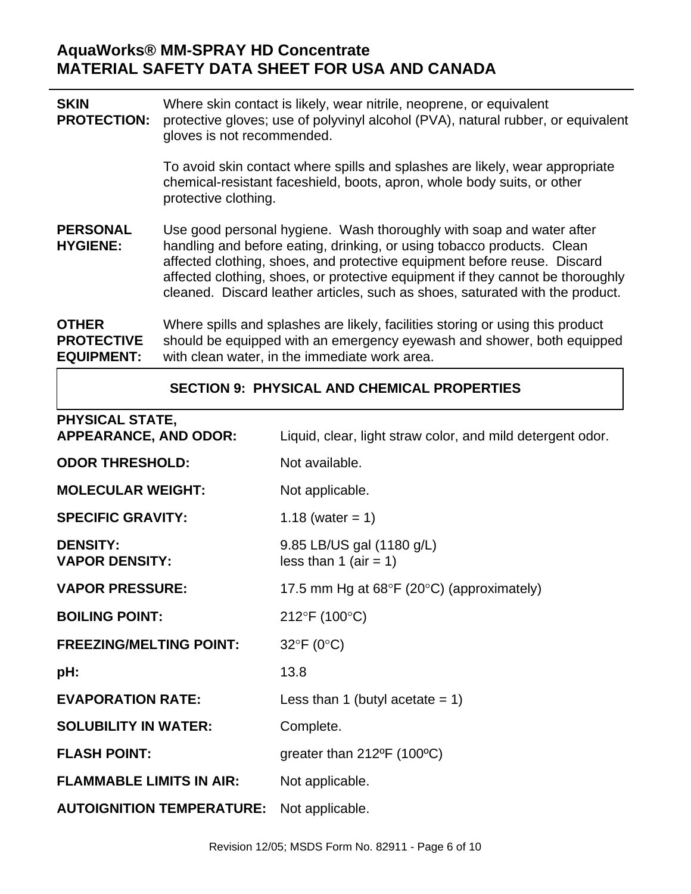**SKIN** Where skin contact is likely, wear nitrile, neoprene, or equivalent **PROTECTION:** protective gloves; use of polyvinyl alcohol (PVA), natural rubber, or equivalent gloves is not recommended.

> To avoid skin contact where spills and splashes are likely, wear appropriate chemical-resistant faceshield, boots, apron, whole body suits, or other protective clothing.

**PERSONAL** Use good personal hygiene. Wash thoroughly with soap and water after **HYGIENE:** handling and before eating, drinking, or using tobacco products. Clean affected clothing, shoes, and protective equipment before reuse. Discard affected clothing, shoes, or protective equipment if they cannot be thoroughly cleaned. Discard leather articles, such as shoes, saturated with the product.

**OTHER** Where spills and splashes are likely, facilities storing or using this product **PROTECTIVE** should be equipped with an emergency eyewash and shower, both equipped **EQUIPMENT:** with clean water, in the immediate work area.

#### **SECTION 9: PHYSICAL AND CHEMICAL PROPERTIES**

| <b>PHYSICAL STATE,</b>                   |                                                               |
|------------------------------------------|---------------------------------------------------------------|
| <b>APPEARANCE, AND ODOR:</b>             | Liquid, clear, light straw color, and mild detergent odor.    |
| <b>ODOR THRESHOLD:</b>                   | Not available.                                                |
| <b>MOLECULAR WEIGHT:</b>                 | Not applicable.                                               |
| <b>SPECIFIC GRAVITY:</b>                 | 1.18 (water = 1)                                              |
| <b>DENSITY:</b><br><b>VAPOR DENSITY:</b> | 9.85 LB/US gal (1180 g/L)<br>less than 1 (air = 1)            |
| <b>VAPOR PRESSURE:</b>                   | 17.5 mm Hg at $68^{\circ}F$ (20 $^{\circ}C$ ) (approximately) |
| <b>BOILING POINT:</b>                    | 212°F (100°C)                                                 |
| <b>FREEZING/MELTING POINT:</b>           | $32^{\circ}F(0^{\circ}C)$                                     |
| pH:                                      | 13.8                                                          |
| <b>EVAPORATION RATE:</b>                 | Less than 1 (butyl acetate $= 1$ )                            |
| <b>SOLUBILITY IN WATER:</b>              | Complete.                                                     |
| <b>FLASH POINT:</b>                      | greater than $212^{\circ}F$ (100 $^{\circ}C$ )                |
| <b>FLAMMABLE LIMITS IN AIR:</b>          | Not applicable.                                               |
| <b>AUTOIGNITION TEMPERATURE:</b>         | Not applicable.                                               |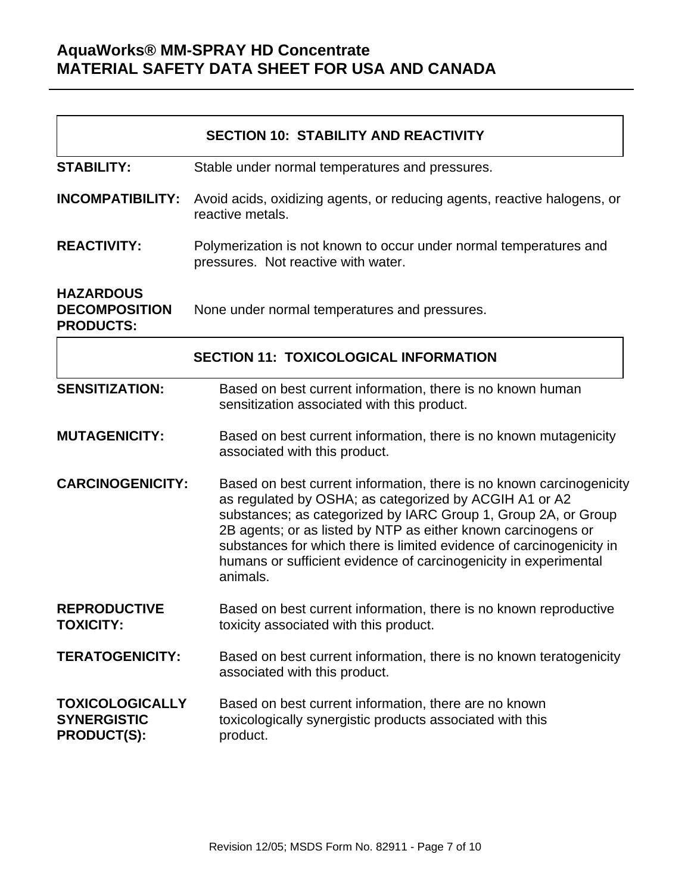|                                                                    | <b>SECTION 10: STABILITY AND REACTIVITY</b>                                                                                                                                                                                                                                                                                                                                                                               |
|--------------------------------------------------------------------|---------------------------------------------------------------------------------------------------------------------------------------------------------------------------------------------------------------------------------------------------------------------------------------------------------------------------------------------------------------------------------------------------------------------------|
| <b>STABILITY:</b>                                                  | Stable under normal temperatures and pressures.                                                                                                                                                                                                                                                                                                                                                                           |
| <b>INCOMPATIBILITY:</b>                                            | Avoid acids, oxidizing agents, or reducing agents, reactive halogens, or<br>reactive metals.                                                                                                                                                                                                                                                                                                                              |
| <b>REACTIVITY:</b>                                                 | Polymerization is not known to occur under normal temperatures and<br>pressures. Not reactive with water.                                                                                                                                                                                                                                                                                                                 |
| <b>HAZARDOUS</b><br><b>DECOMPOSITION</b><br><b>PRODUCTS:</b>       | None under normal temperatures and pressures.                                                                                                                                                                                                                                                                                                                                                                             |
|                                                                    | <b>SECTION 11: TOXICOLOGICAL INFORMATION</b>                                                                                                                                                                                                                                                                                                                                                                              |
| <b>SENSITIZATION:</b>                                              | Based on best current information, there is no known human<br>sensitization associated with this product.                                                                                                                                                                                                                                                                                                                 |
| <b>MUTAGENICITY:</b>                                               | Based on best current information, there is no known mutagenicity<br>associated with this product.                                                                                                                                                                                                                                                                                                                        |
| <b>CARCINOGENICITY:</b>                                            | Based on best current information, there is no known carcinogenicity<br>as regulated by OSHA; as categorized by ACGIH A1 or A2<br>substances; as categorized by IARC Group 1, Group 2A, or Group<br>2B agents; or as listed by NTP as either known carcinogens or<br>substances for which there is limited evidence of carcinogenicity in<br>humans or sufficient evidence of carcinogenicity in experimental<br>animals. |
| <b>REPRODUCTIVE</b><br><b>TOXICITY:</b>                            | Based on best current information, there is no known reproductive<br>toxicity associated with this product.                                                                                                                                                                                                                                                                                                               |
| <b>TERATOGENICITY:</b>                                             | Based on best current information, there is no known teratogenicity<br>associated with this product.                                                                                                                                                                                                                                                                                                                      |
| <b>TOXICOLOGICALLY</b><br><b>SYNERGISTIC</b><br><b>PRODUCT(S):</b> | Based on best current information, there are no known<br>toxicologically synergistic products associated with this<br>product.                                                                                                                                                                                                                                                                                            |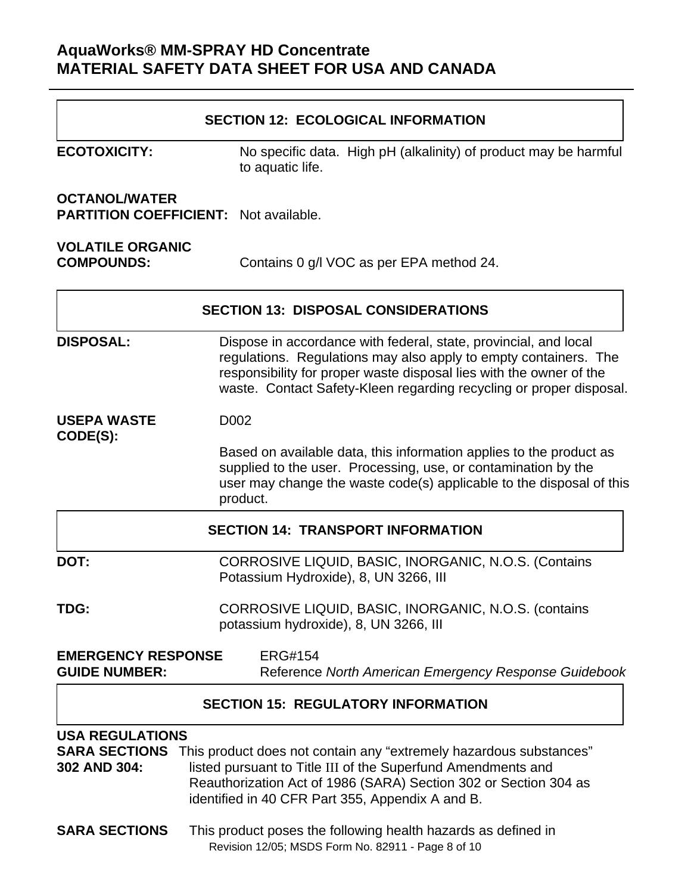|                                                                      | <b>SECTION 12: ECOLOGICAL INFORMATION</b>                                                                                                                                                                                                                                          |
|----------------------------------------------------------------------|------------------------------------------------------------------------------------------------------------------------------------------------------------------------------------------------------------------------------------------------------------------------------------|
| <b>ECOTOXICITY:</b>                                                  | No specific data. High pH (alkalinity) of product may be harmful<br>to aquatic life.                                                                                                                                                                                               |
| <b>OCTANOL/WATER</b><br><b>PARTITION COEFFICIENT: Not available.</b> |                                                                                                                                                                                                                                                                                    |
| <b>VOLATILE ORGANIC</b><br><b>COMPOUNDS:</b>                         | Contains 0 g/l VOC as per EPA method 24.                                                                                                                                                                                                                                           |
|                                                                      | <b>SECTION 13: DISPOSAL CONSIDERATIONS</b>                                                                                                                                                                                                                                         |
| <b>DISPOSAL:</b>                                                     | Dispose in accordance with federal, state, provincial, and local<br>regulations. Regulations may also apply to empty containers. The<br>responsibility for proper waste disposal lies with the owner of the<br>waste. Contact Safety-Kleen regarding recycling or proper disposal. |
| <b>USEPA WASTE</b>                                                   | D002                                                                                                                                                                                                                                                                               |
| CODE(S):                                                             | Based on available data, this information applies to the product as<br>supplied to the user. Processing, use, or contamination by the<br>user may change the waste code(s) applicable to the disposal of this<br>product.                                                          |
|                                                                      | <b>SECTION 14: TRANSPORT INFORMATION</b>                                                                                                                                                                                                                                           |
| DOT:                                                                 | CORROSIVE LIQUID, BASIC, INORGANIC, N.O.S. (Contains<br>Potassium Hydroxide), 8, UN 3266, III                                                                                                                                                                                      |
| TDG:                                                                 | CORROSIVE LIQUID, BASIC, INORGANIC, N.O.S. (contains<br>potassium hydroxide), 8, UN 3266, III                                                                                                                                                                                      |
| <b>EMERGENCY RESPONSE</b><br><b>GUIDE NUMBER:</b>                    | <b>ERG#154</b><br>Reference North American Emergency Response Guidebook                                                                                                                                                                                                            |
|                                                                      | <b>SECTION 15: REGULATORY INFORMATION</b>                                                                                                                                                                                                                                          |
| <b>USA REGULATIONS</b><br><b>SARA SECTIONS</b><br>302 AND 304:       | This product does not contain any "extremely hazardous substances"<br>listed pursuant to Title III of the Superfund Amendments and<br>Reauthorization Act of 1986 (SARA) Section 302 or Section 304 as<br>identified in 40 CFR Part 355, Appendix A and B.                         |
| <b>SARA SECTIONS</b>                                                 | This product poses the following health hazards as defined in<br>Revision 12/05; MSDS Form No. 82911 - Page 8 of 10                                                                                                                                                                |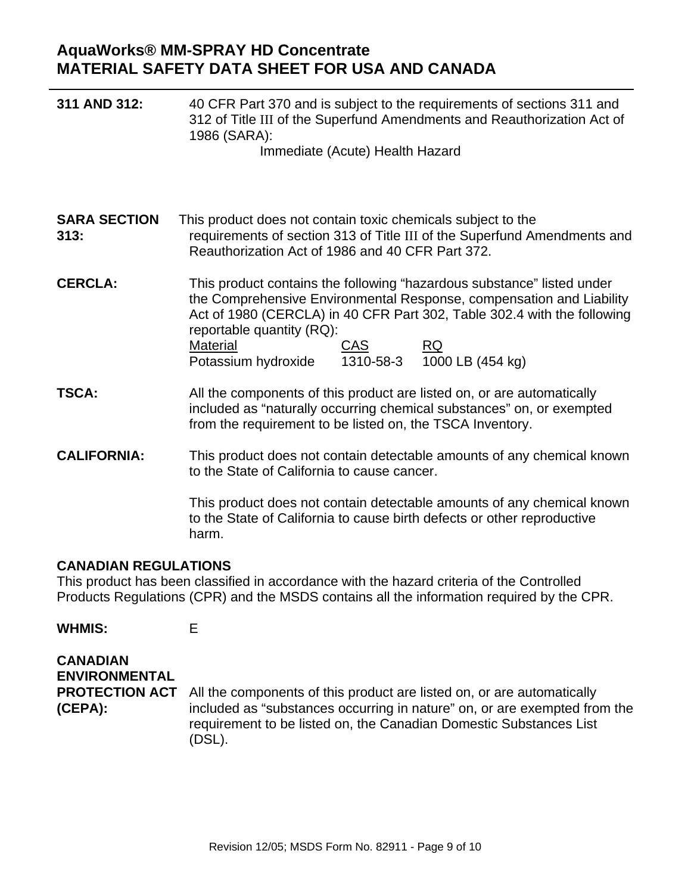| 311 AND 312:                | 40 CFR Part 370 and is subject to the requirements of sections 311 and<br>312 of Title III of the Superfund Amendments and Reauthorization Act of<br>1986 (SARA):<br>Immediate (Acute) Health Hazard                                                                                                                                         |
|-----------------------------|----------------------------------------------------------------------------------------------------------------------------------------------------------------------------------------------------------------------------------------------------------------------------------------------------------------------------------------------|
| <b>SARA SECTION</b><br>313: | This product does not contain toxic chemicals subject to the<br>requirements of section 313 of Title III of the Superfund Amendments and<br>Reauthorization Act of 1986 and 40 CFR Part 372.                                                                                                                                                 |
| <b>CERCLA:</b>              | This product contains the following "hazardous substance" listed under<br>the Comprehensive Environmental Response, compensation and Liability<br>Act of 1980 (CERCLA) in 40 CFR Part 302, Table 302.4 with the following<br>reportable quantity (RQ):<br>Material<br><b>CAS</b><br>RQ.<br>1310-58-3 1000 LB (454 kg)<br>Potassium hydroxide |
| <b>TSCA:</b>                | All the components of this product are listed on, or are automatically<br>included as "naturally occurring chemical substances" on, or exempted<br>from the requirement to be listed on, the TSCA Inventory.                                                                                                                                 |
| <b>CALIFORNIA:</b>          | This product does not contain detectable amounts of any chemical known<br>to the State of California to cause cancer.                                                                                                                                                                                                                        |
|                             | This product does not contain detectable amounts of any chemical known<br>to the State of California to cause birth defects or other reproductive<br>harm.                                                                                                                                                                                   |
| <b>CANADIAN REGULATIONS</b> | This product has been classified in accordance with the hazard criteria of the Controlled                                                                                                                                                                                                                                                    |

Products Regulations (CPR) and the MSDS contains all the information required by the CPR.

**WHMIS:** E

| <b>CANADIAN</b><br><b>ENVIRONMENTAL</b> |                                                                                                                                                                                                                                                           |
|-----------------------------------------|-----------------------------------------------------------------------------------------------------------------------------------------------------------------------------------------------------------------------------------------------------------|
| (CEPA):                                 | <b>PROTECTION ACT</b> All the components of this product are listed on, or are automatically<br>included as "substances occurring in nature" on, or are exempted from the<br>requirement to be listed on, the Canadian Domestic Substances List<br>(DSL). |